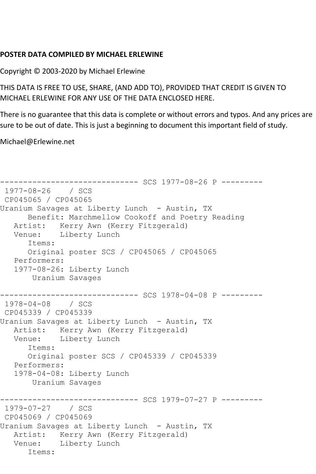## **POSTER DATA COMPILED BY MICHAEL ERLEWINE**

Copyright © 2003-2020 by Michael Erlewine

THIS DATA IS FREE TO USE, SHARE, (AND ADD TO), PROVIDED THAT CREDIT IS GIVEN TO MICHAEL ERLEWINE FOR ANY USE OF THE DATA ENCLOSED HERE.

There is no guarantee that this data is complete or without errors and typos. And any prices are sure to be out of date. This is just a beginning to document this important field of study.

Michael@Erlewine.net

```
------------------------------ SCS 1977-08-26 P ---------
1977-08-26 / SCS 
CP045065 / CP045065
Uranium Savages at Liberty Lunch - Austin, TX
      Benefit: Marchmellow Cookoff and Poetry Reading
   Artist: Kerry Awn (Kerry Fitzgerald)
   Venue: Liberty Lunch
       Items:
      Original poster SCS / CP045065 / CP045065
   Performers:
   1977-08-26: Liberty Lunch
       Uranium Savages
               ------------------------------ SCS 1978-04-08 P ---------
1978-04-08 / SCS 
CP045339 / CP045339
Uranium Savages at Liberty Lunch - Austin, TX
   Artist: Kerry Awn (Kerry Fitzgerald)
   Venue: Liberty Lunch
       Items:
       Original poster SCS / CP045339 / CP045339
   Performers:
   1978-04-08: Liberty Lunch
       Uranium Savages
                    ----------- SCS 1979-07-27 P ---------
1979-07-27 / SCS 
CP045069 / CP045069
Uranium Savages at Liberty Lunch - Austin, TX
   Artist: Kerry Awn (Kerry Fitzgerald)
   Venue: Liberty Lunch
       Items:
```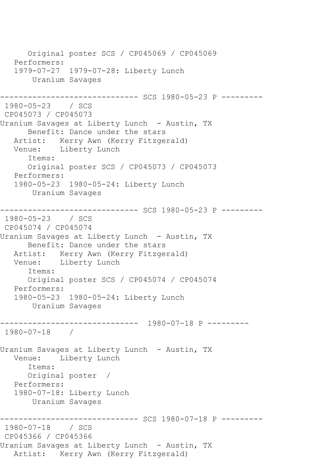Original poster SCS / CP045069 / CP045069 Performers: 1979-07-27 1979-07-28: Liberty Lunch Uranium Savages --------------------- SCS 1980-05-23 P ---------1980-05-23 / SCS CP045073 / CP045073 Uranium Savages at Liberty Lunch - Austin, TX Benefit: Dance under the stars Artist: Kerry Awn (Kerry Fitzgerald) Venue: Liberty Lunch Items: Original poster SCS / CP045073 / CP045073 Performers: 1980-05-23 1980-05-24: Liberty Lunch Uranium Savages ------------------------------ SCS 1980-05-23 P --------- 1980-05-23 / SCS CP045074 / CP045074 Uranium Savages at Liberty Lunch - Austin, TX Benefit: Dance under the stars Artist: Kerry Awn (Kerry Fitzgerald) Venue: Liberty Lunch Items: Original poster SCS / CP045074 / CP045074 Performers: 1980-05-23 1980-05-24: Liberty Lunch Uranium Savages ------------------------------ 1980-07-18 P --------- 1980-07-18 / Uranium Savages at Liberty Lunch - Austin, TX Venue: Liberty Lunch Items: Original poster / Performers: 1980-07-18: Liberty Lunch Uranium Savages ------------------------------ SCS 1980-07-18 P --------- 1980-07-18 / SCS CP045366 / CP045366 Uranium Savages at Liberty Lunch - Austin, TX Artist: Kerry Awn (Kerry Fitzgerald)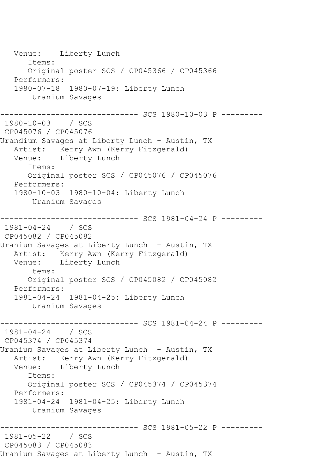Venue: Liberty Lunch Items: Original poster SCS / CP045366 / CP045366 Performers: 1980-07-18 1980-07-19: Liberty Lunch Uranium Savages ------------------------------ SCS 1980-10-03 P --------- 1980-10-03 / SCS CP045076 / CP045076 Urandium Savages at Liberty Lunch - Austin, TX Artist: Kerry Awn (Kerry Fitzgerald)<br>Venue: Liberty Lunch Liberty Lunch Items: Original poster SCS / CP045076 / CP045076 Performers: 1980-10-03 1980-10-04: Liberty Lunch Uranium Savages ------------------------------ SCS 1981-04-24 P --------- 1981-04-24 / SCS CP045082 / CP045082 Uranium Savages at Liberty Lunch - Austin, TX Artist: Kerry Awn (Kerry Fitzgerald) Venue: Liberty Lunch Items: Original poster SCS / CP045082 / CP045082 Performers: 1981-04-24 1981-04-25: Liberty Lunch Uranium Savages ------------------------------ SCS 1981-04-24 P --------- 1981-04-24 / SCS CP045374 / CP045374 Uranium Savages at Liberty Lunch - Austin, TX Artist: Kerry Awn (Kerry Fitzgerald)<br>Venue: Liberty Lunch Liberty Lunch Items: Original poster SCS / CP045374 / CP045374 Performers: 1981-04-24 1981-04-25: Liberty Lunch Uranium Savages ----------- SCS 1981-05-22 P ----------1981-05-22 / SCS CP045083 / CP045083 Uranium Savages at Liberty Lunch - Austin, TX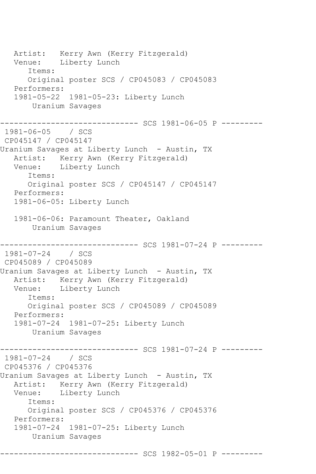Artist: Kerry Awn (Kerry Fitzgerald) Venue: Liberty Lunch Items: Original poster SCS / CP045083 / CP045083 Performers: 1981-05-22 1981-05-23: Liberty Lunch Uranium Savages ------------------------------ SCS 1981-06-05 P --------- 1981-06-05 / SCS CP045147 / CP045147 Uranium Savages at Liberty Lunch - Austin, TX Artist: Kerry Awn (Kerry Fitzgerald) Venue: Liberty Lunch Items: Original poster SCS / CP045147 / CP045147 Performers: 1981-06-05: Liberty Lunch 1981-06-06: Paramount Theater, Oakland Uranium Savages ------------------------------ SCS 1981-07-24 P --------- 1981-07-24 / SCS CP045089 / CP045089 Uranium Savages at Liberty Lunch - Austin, TX Artist: Kerry Awn (Kerry Fitzgerald) Venue: Liberty Lunch Items: Original poster SCS / CP045089 / CP045089 Performers: 1981-07-24 1981-07-25: Liberty Lunch Uranium Savages ---------- SCS 1981-07-24 P ---------1981-07-24 / SCS CP045376 / CP045376 Uranium Savages at Liberty Lunch - Austin, TX Artist: Kerry Awn (Kerry Fitzgerald)<br>Venue: Liberty Lunch Liberty Lunch Items: Original poster SCS / CP045376 / CP045376 Performers: 1981-07-24 1981-07-25: Liberty Lunch Uranium Savages ------------------------------ SCS 1982-05-01 P ---------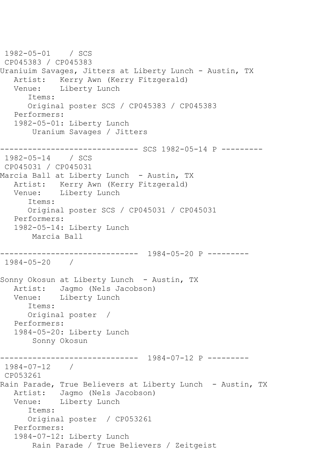```
1982-05-01 / SCS 
CP045383 / CP045383
Uraniuim Savages, Jitters at Liberty Lunch - Austin, TX
  Artist: Kerry Awn (Kerry Fitzgerald)<br>Venue: Liberty Lunch
            Liberty Lunch
       Items:
       Original poster SCS / CP045383 / CP045383
   Performers:
   1982-05-01: Liberty Lunch
        Uranium Savages / Jitters
   ------------------------------ SCS 1982-05-14 P ---------
1982-05-14 / SCS 
CP045031 / CP045031
Marcia Ball at Liberty Lunch - Austin, TX
   Artist: Kerry Awn (Kerry Fitzgerald)
   Venue: Liberty Lunch
       Items:
       Original poster SCS / CP045031 / CP045031
   Performers:
   1982-05-14: Liberty Lunch
       Marcia Ball
------------------------------ 1984-05-20 P ---------
1984-05-20 / 
Sonny Okosun at Liberty Lunch - Austin, TX
   Artist: Jagmo (Nels Jacobson)
   Venue: Liberty Lunch
      Items:
      Original poster / 
   Performers:
   1984-05-20: Liberty Lunch
        Sonny Okosun
------------------------------ 1984-07-12 P ---------
1984-07-12 / 
CP053261
Rain Parade, True Believers at Liberty Lunch - Austin, TX
   Artist: Jagmo (Nels Jacobson)
   Venue: Liberty Lunch
       Items:
       Original poster / CP053261
   Performers:
   1984-07-12: Liberty Lunch
        Rain Parade / True Believers / Zeitgeist
```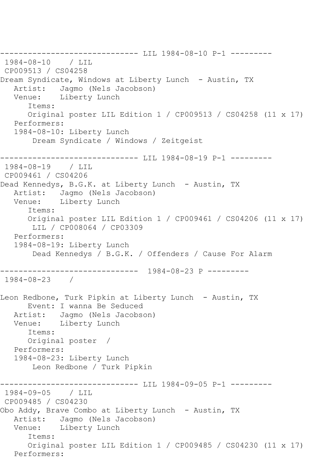------------------------------ LIL 1984-08-10 P-1 --------- 1984-08-10 / LIL CP009513 / CS04258 Dream Syndicate, Windows at Liberty Lunch - Austin, TX Artist: Jagmo (Nels Jacobson) Venue: Liberty Lunch Items: Original poster LIL Edition 1 / CP009513 / CS04258 (11 x 17) Performers: 1984-08-10: Liberty Lunch Dream Syndicate / Windows / Zeitgeist ----------------------------- LIL 1984-08-19 P-1 ---------1984-08-19 / LIL CP009461 / CS04206 Dead Kennedys, B.G.K. at Liberty Lunch - Austin, TX Artist: Jagmo (Nels Jacobson) Venue: Liberty Lunch Items: Original poster LIL Edition 1 / CP009461 / CS04206 (11 x 17) LIL / CP008064 / CP03309 Performers: 1984-08-19: Liberty Lunch Dead Kennedys / B.G.K. / Offenders / Cause For Alarm ------------------------------ 1984-08-23 P --------- 1984-08-23 / Leon Redbone, Turk Pipkin at Liberty Lunch - Austin, TX Event: I wanna Be Seduced Artist: Jagmo (Nels Jacobson) Venue: Liberty Lunch Items: Original poster / Performers: 1984-08-23: Liberty Lunch Leon Redbone / Turk Pipkin ------------------------------ LIL 1984-09-05 P-1 ---------  $1984 - 09 - 05$ CP009485 / CS04230 Obo Addy, Brave Combo at Liberty Lunch - Austin, TX Artist: Jagmo (Nels Jacobson)<br>Venue: Liberty Lunch Liberty Lunch Items: Original poster LIL Edition 1 / CP009485 / CS04230 (11 x 17) Performers: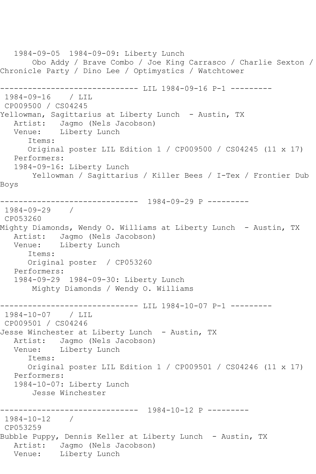1984-09-05 1984-09-09: Liberty Lunch Obo Addy / Brave Combo / Joe King Carrasco / Charlie Sexton / Chronicle Party / Dino Lee / Optimystics / Watchtower ----------------------------- LIL 1984-09-16 P-1 ----------1984-09-16 / LIL CP009500 / CS04245 Yellowman, Sagittarius at Liberty Lunch - Austin, TX Artist: Jagmo (Nels Jacobson) Venue: Liberty Lunch Items: Original poster LIL Edition 1 / CP009500 / CS04245 (11 x 17) Performers: 1984-09-16: Liberty Lunch Yellowman / Sagittarius / Killer Bees / I-Tex / Frontier Dub Boys ------------------------------ 1984-09-29 P --------- 1984-09-29 / CP053260 Mighty Diamonds, Wendy O. Williams at Liberty Lunch – Austin, TX<br>Artist: Jagmo (Nels Jacobson) Jagmo (Nels Jacobson) Venue: Liberty Lunch Items: Original poster / CP053260 Performers: 1984-09-29 1984-09-30: Liberty Lunch Mighty Diamonds / Wendy O. Williams ----------------------------- LIL 1984-10-07 P-1 ---------1984-10-07 / LIL CP009501 / CS04246 Jesse Winchester at Liberty Lunch - Austin, TX Artist: Jagmo (Nels Jacobson) Venue: Liberty Lunch Items: Original poster LIL Edition 1 / CP009501 / CS04246 (11 x 17) Performers: 1984-10-07: Liberty Lunch Jesse Winchester ------------------------------ 1984-10-12 P --------- 1984-10-12 / CP053259 Bubble Puppy, Dennis Keller at Liberty Lunch - Austin, TX Artist: Jagmo (Nels Jacobson) Venue: Liberty Lunch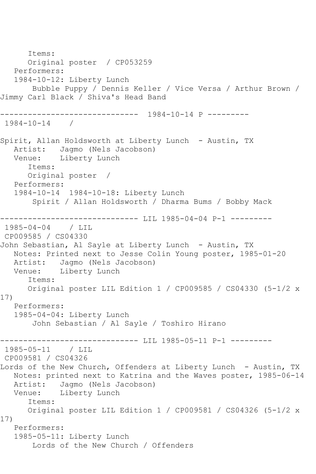Items: Original poster / CP053259 Performers: 1984-10-12: Liberty Lunch Bubble Puppy / Dennis Keller / Vice Versa / Arthur Brown / Jimmy Carl Black / Shiva's Head Band ------------------------------ 1984-10-14 P --------- 1984-10-14 / Spirit, Allan Holdsworth at Liberty Lunch - Austin, TX Artist: Jagmo (Nels Jacobson)<br>Venue: Liberty Lunch Liberty Lunch Items: Original poster / Performers: 1984-10-14 1984-10-18: Liberty Lunch Spirit / Allan Holdsworth / Dharma Bums / Bobby Mack ------------------------------ LIL 1985-04-04 P-1 --------- 1985-04-04 / LIL CP009585 / CS04330 John Sebastian, Al Sayle at Liberty Lunch - Austin, TX Notes: Printed next to Jesse Colin Young poster, 1985-01-20 Artist: Jagmo (Nels Jacobson)<br>Venue: Liberty Lunch Liberty Lunch Items: Original poster LIL Edition 1 / CP009585 / CS04330 (5-1/2 x 17) Performers: 1985-04-04: Liberty Lunch John Sebastian / Al Sayle / Toshiro Hirano ------------------------------ LIL 1985-05-11 P-1 --------- 1985-05-11 / LIL CP009581 / CS04326 Lords of the New Church, Offenders at Liberty Lunch - Austin, TX Notes: printed next to Katrina and the Waves poster, 1985-06-14 Artist: Jagmo (Nels Jacobson) Venue: Liberty Lunch Items: Original poster LIL Edition 1 / CP009581 / CS04326 (5-1/2 x 17) Performers: 1985-05-11: Liberty Lunch Lords of the New Church / Offenders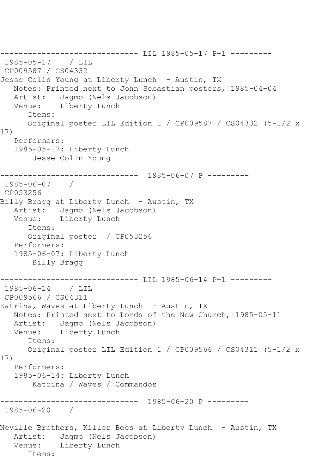------------------------------ LIL 1985-05-17 P-1 --------- 1985-05-17 / LIL CP009587 / CS04332 Jesse Colin Young at Liberty Lunch - Austin, TX Notes: Printed next to John Sebastian posters, 1985-04-04<br>Artist: Jagmo (Nels Jacobson) Jagmo (Nels Jacobson) Venue: Liberty Lunch Items: Original poster LIL Edition 1 / CP009587 / CS04332 (5-1/2 x 17) Performers: 1985-05-17: Liberty Lunch Jesse Colin Young ------------------------------ 1985-06-07 P --------- 1985-06-07 / CP053256 Billy Bragg at Liberty Lunch - Austin, TX Artist: Jagmo (Nels Jacobson) Venue: Liberty Lunch Items: Original poster / CP053256 Performers: 1985-06-07: Liberty Lunch Billy Bragg ----------------------------- LIL 1985-06-14 P-1 ----------1985-06-14 / LIL CP009566 / CS04311 Katrina, Waves at Liberty Lunch - Austin, TX Notes: Printed next to Lords of the New Church, 1985-05-11 Artist: Jagmo (Nels Jacobson) Venue: Liberty Lunch Items: Original poster LIL Edition 1 / CP009566 / CS04311 (5-1/2 x 17) Performers: 1985-06-14: Liberty Lunch Katrina / Waves / Commandos ------------------------------ 1985-06-20 P --------- 1985-06-20 / Neville Brothers, Killer Bees at Liberty Lunch - Austin, TX Artist: Jagmo (Nels Jacobson) Venue: Liberty Lunch Items: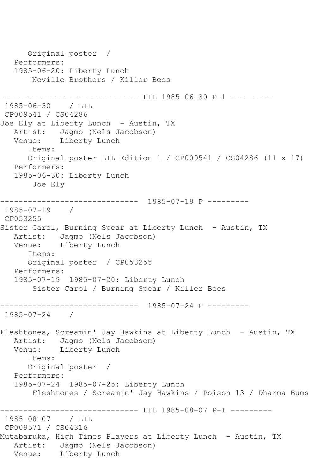Original poster / Performers: 1985-06-20: Liberty Lunch Neville Brothers / Killer Bees ---------- LIL 1985-06-30 P-1 ---------1985-06-30 / LIL CP009541 / CS04286 Joe Ely at Liberty Lunch - Austin, TX Artist: Jagmo (Nels Jacobson)<br>Venue: Liberty Lunch Liberty Lunch Items: Original poster LIL Edition 1 / CP009541 / CS04286 (11 x 17) Performers: 1985-06-30: Liberty Lunch Joe Ely ------------------------------ 1985-07-19 P --------- 1985-07-19 / CP053255 Sister Carol, Burning Spear at Liberty Lunch - Austin, TX Artist: Jagmo (Nels Jacobson) Venue: Liberty Lunch Items: Original poster / CP053255 Performers: 1985-07-19 1985-07-20: Liberty Lunch Sister Carol / Burning Spear / Killer Bees ------------------------------ 1985-07-24 P --------- 1985-07-24 / Fleshtones, Screamin' Jay Hawkins at Liberty Lunch - Austin, TX Artist: Jagmo (Nels Jacobson) Venue: Liberty Lunch Items: Original poster / Performers: 1985-07-24 1985-07-25: Liberty Lunch Fleshtones / Screamin' Jay Hawkins / Poison 13 / Dharma Bums ------------------------------ LIL 1985-08-07 P-1 --------- 1985-08-07 / LIL CP009571 / CS04316 Mutabaruka, High Times Players at Liberty Lunch - Austin, TX Artist: Jagmo (Nels Jacobson) Venue: Liberty Lunch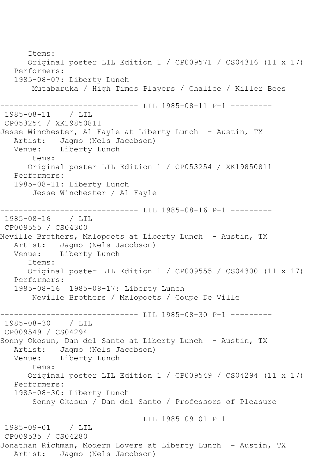Items: Original poster LIL Edition 1 / CP009571 / CS04316 (11 x 17) Performers: 1985-08-07: Liberty Lunch Mutabaruka / High Times Players / Chalice / Killer Bees ------------------------------ LIL 1985-08-11 P-1 --------- 1985-08-11 / LIL CP053254 / XK19850811 Jesse Winchester, Al Fayle at Liberty Lunch - Austin, TX Artist: Jagmo (Nels Jacobson)<br>Venue: Liberty Lunch Liberty Lunch Items: Original poster LIL Edition 1 / CP053254 / XK19850811 Performers: 1985-08-11: Liberty Lunch Jesse Winchester / Al Fayle ------------------------------ LIL 1985-08-16 P-1 --------- 1985-08-16 / LIL CP009555 / CS04300 Neville Brothers, Malopoets at Liberty Lunch - Austin, TX Artist: Jagmo (Nels Jacobson)<br>Venue: Liberty Lunch Liberty Lunch Items: Original poster LIL Edition 1 / CP009555 / CS04300 (11 x 17) Performers: 1985-08-16 1985-08-17: Liberty Lunch Neville Brothers / Malopoets / Coupe De Ville ------------------------------ LIL 1985-08-30 P-1 --------- 1985-08-30 / LIL CP009549 / CS04294 Sonny Okosun, Dan del Santo at Liberty Lunch - Austin, TX Artist: Jagmo (Nels Jacobson) Venue: Liberty Lunch Items: Original poster LIL Edition 1 / CP009549 / CS04294 (11 x 17) Performers: 1985-08-30: Liberty Lunch Sonny Okosun / Dan del Santo / Professors of Pleasure ------------------------------ LIL 1985-09-01 P-1 --------- 1985-09-01 CP009535 / CS04280 Jonathan Richman, Modern Lovers at Liberty Lunch - Austin, TX Artist: Jagmo (Nels Jacobson)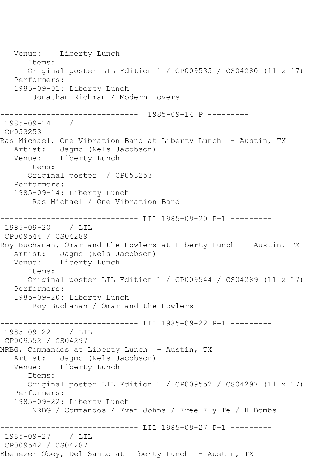Venue: Liberty Lunch Items: Original poster LIL Edition 1 / CP009535 / CS04280 (11 x 17) Performers: 1985-09-01: Liberty Lunch Jonathan Richman / Modern Lovers ------------------------------ 1985-09-14 P --------- 1985-09-14 / CP053253 Ras Michael, One Vibration Band at Liberty Lunch - Austin, TX Artist: Jagmo (Nels Jacobson)<br>Venue: Liberty Lunch Liberty Lunch Items: Original poster / CP053253 Performers: 1985-09-14: Liberty Lunch Ras Michael / One Vibration Band ------------------------------- LIL 1985-09-20 P-1 ---------<br>1985-09-20 / LIL 1985-09-20 CP009544 / CS04289 Roy Buchanan, Omar and the Howlers at Liberty Lunch - Austin, TX Artist: Jagmo (Nels Jacobson) Venue: Liberty Lunch Items: Original poster LIL Edition 1 / CP009544 / CS04289 (11 x 17) Performers: 1985-09-20: Liberty Lunch Roy Buchanan / Omar and the Howlers ------------ LIL 1985-09-22 P-1 ----------1985-09-22 / LIL CP009552 / CS04297 NRBG, Commandos at Liberty Lunch - Austin, TX Artist: Jagmo (Nels Jacobson)<br>Venue: Liberty Lunch Liberty Lunch Items: Original poster LIL Edition 1 / CP009552 / CS04297 (11 x 17) Performers: 1985-09-22: Liberty Lunch NRBG / Commandos / Evan Johns / Free Fly Te / H Bombs ----------- LIL 1985-09-27 P-1 ---------1985-09-27 / LIL CP009542 / CS04287 Ebenezer Obey, Del Santo at Liberty Lunch - Austin, TX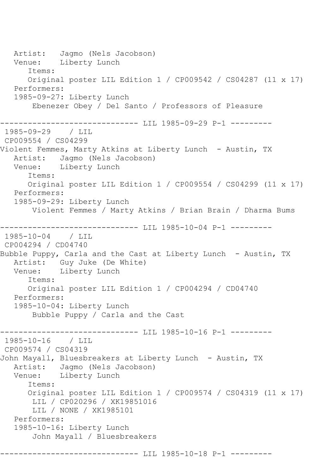Artist: Jagmo (Nels Jacobson) Venue: Liberty Lunch Items: Original poster LIL Edition 1 / CP009542 / CS04287 (11 x 17) Performers: 1985-09-27: Liberty Lunch Ebenezer Obey / Del Santo / Professors of Pleasure ------------------------------ LIL 1985-09-29 P-1 --------- 1985-09-29 CP009554 / CS04299 Violent Femmes, Marty Atkins at Liberty Lunch - Austin, TX Artist: Jagmo (Nels Jacobson) Venue: Liberty Lunch Items: Original poster LIL Edition 1 / CP009554 / CS04299 (11 x 17) Performers: 1985-09-29: Liberty Lunch Violent Femmes / Marty Atkins / Brian Brain / Dharma Bums ----------------------------- LIL 1985-10-04 P-1 ----------1985-10-04 / LIL CP004294 / CD04740 Bubble Puppy, Carla and the Cast at Liberty Lunch - Austin, TX Artist: Guy Juke (De White)<br>Venue: Liberty Lunch Liberty Lunch Items: Original poster LIL Edition 1 / CP004294 / CD04740 Performers: 1985-10-04: Liberty Lunch Bubble Puppy / Carla and the Cast ----------------------------- LIL 1985-10-16 P-1 ----------1985-10-16 / LIL CP009574 / CS04319 John Mayall, Bluesbreakers at Liberty Lunch - Austin, TX Artist: Jagmo (Nels Jacobson) Venue: Liberty Lunch Items: Original poster LIL Edition 1 / CP009574 / CS04319 (11 x 17) LIL / CP020296 / XK19851016 LIL / NONE / XK1985101 Performers: 1985-10-16: Liberty Lunch John Mayall / Bluesbreakers ------------------------------ LIL 1985-10-18 P-1 ---------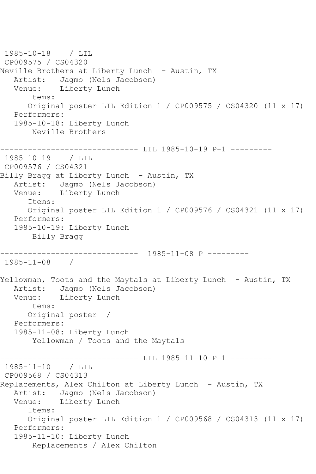1985-10-18 / LIL CP009575 / CS04320 Neville Brothers at Liberty Lunch - Austin, TX Artist: Jagmo (Nels Jacobson)<br>Venue: Liberty Lunch Liberty Lunch Items: Original poster LIL Edition 1 / CP009575 / CS04320 (11 x 17) Performers: 1985-10-18: Liberty Lunch Neville Brothers ------------------------------ LIL 1985-10-19 P-1 --------- 1985-10-19 / LIL CP009576 / CS04321 Billy Bragg at Liberty Lunch - Austin, TX Artist: Jagmo (Nels Jacobson) Venue: Liberty Lunch Items: Original poster LIL Edition 1 / CP009576 / CS04321 (11 x 17) Performers: 1985-10-19: Liberty Lunch Billy Bragg ------------------------------ 1985-11-08 P --------- 1985-11-08 / Yellowman, Toots and the Maytals at Liberty Lunch - Austin, TX Artist: Jagmo (Nels Jacobson) Venue: Liberty Lunch Items: Original poster / Performers: 1985-11-08: Liberty Lunch Yellowman / Toots and the Maytals ------------------------------ LIL 1985-11-10 P-1 --------- 1985-11-10 / LIL CP009568 / CS04313 Replacements, Alex Chilton at Liberty Lunch - Austin, TX Artist: Jagmo (Nels Jacobson)<br>Venue: Liberty Lunch Liberty Lunch Items: Original poster LIL Edition 1 / CP009568 / CS04313 (11 x 17) Performers: 1985-11-10: Liberty Lunch Replacements / Alex Chilton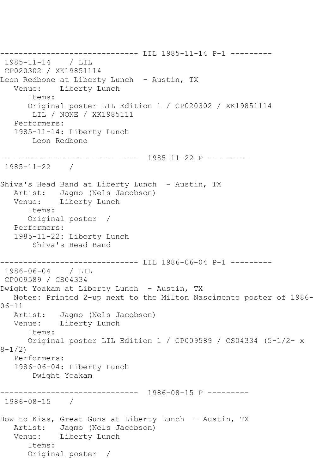------------------------------ LIL 1985-11-14 P-1 --------- 1985-11-14 / LIL CP020302 / XK19851114 Leon Redbone at Liberty Lunch - Austin, TX<br>Venue: Liberty Lunch Liberty Lunch Items: Original poster LIL Edition 1 / CP020302 / XK19851114 LIL / NONE / XK1985111 Performers: 1985-11-14: Liberty Lunch Leon Redbone ------------------------------ 1985-11-22 P --------- 1985-11-22 / Shiva's Head Band at Liberty Lunch - Austin, TX Artist: Jagmo (Nels Jacobson) Venue: Liberty Lunch Items: Original poster / Performers: 1985-11-22: Liberty Lunch Shiva's Head Band ------------------------------ LIL 1986-06-04 P-1 --------- 1986-06-04 / LIL CP009589 / CS04334 Dwight Yoakam at Liberty Lunch - Austin, TX Notes: Printed 2-up next to the Milton Nascimento poster of 1986- 06-11 Artist: Jagmo (Nels Jacobson) Venue: Liberty Lunch Items: Original poster LIL Edition 1 / CP009589 / CS04334 (5-1/2- x 8-1/2) Performers: 1986-06-04: Liberty Lunch Dwight Yoakam ------------------------------ 1986-08-15 P --------- 1986-08-15 / How to Kiss, Great Guns at Liberty Lunch - Austin, TX Artist: Jagmo (Nels Jacobson) Venue: Liberty Lunch Items: Original poster /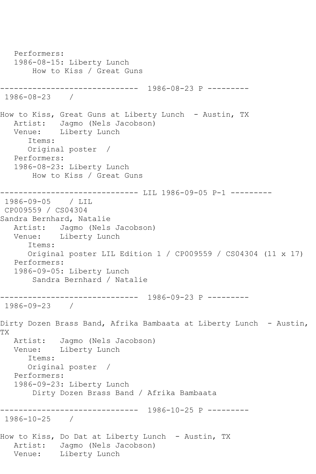Performers: 1986-08-15: Liberty Lunch How to Kiss / Great Guns ------------------------------ 1986-08-23 P --------- 1986-08-23 / How to Kiss, Great Guns at Liberty Lunch - Austin, TX Artist: Jagmo (Nels Jacobson) Venue: Liberty Lunch Items: Original poster / Performers: 1986-08-23: Liberty Lunch How to Kiss / Great Guns ------------------------------ LIL 1986-09-05 P-1 --------- 1986-09-05 / LIL CP009559 / CS04304 Sandra Bernhard, Natalie Artist: Jagmo (Nels Jacobson) Venue: Liberty Lunch Items: Original poster LIL Edition 1 / CP009559 / CS04304 (11 x 17) Performers: 1986-09-05: Liberty Lunch Sandra Bernhard / Natalie ------------------------------ 1986-09-23 P --------- 1986-09-23 / Dirty Dozen Brass Band, Afrika Bambaata at Liberty Lunch - Austin, TX Artist: Jagmo (Nels Jacobson) Venue: Liberty Lunch Items: Original poster / Performers: 1986-09-23: Liberty Lunch Dirty Dozen Brass Band / Afrika Bambaata ------------------------------ 1986-10-25 P --------- 1986-10-25 / How to Kiss, Do Dat at Liberty Lunch - Austin, TX Artist: Jagmo (Nels Jacobson) Venue: Liberty Lunch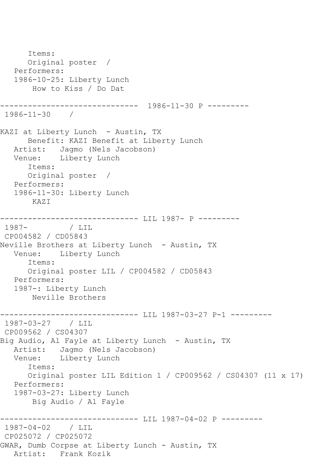Items: Original poster / Performers: 1986-10-25: Liberty Lunch How to Kiss / Do Dat ------------------------------ 1986-11-30 P --------- 1986-11-30 / KAZI at Liberty Lunch - Austin, TX Benefit: KAZI Benefit at Liberty Lunch Artist: Jagmo (Nels Jacobson) Venue: Liberty Lunch Items: Original poster / Performers: 1986-11-30: Liberty Lunch KAZI ------------------------------ LIL 1987- P ---------1987- / LIL CP004582 / CD05843 Neville Brothers at Liberty Lunch - Austin, TX Venue: Liberty Lunch Items: Original poster LIL / CP004582 / CD05843 Performers: 1987-: Liberty Lunch Neville Brothers ------------------------------ LIL 1987-03-27 P-1 --------- 1987-03-27 / LIL CP009562 / CS04307 Big Audio, Al Fayle at Liberty Lunch - Austin, TX Artist: Jagmo (Nels Jacobson) Venue: Liberty Lunch Items: Original poster LIL Edition 1 / CP009562 / CS04307 (11 x 17) Performers: 1987-03-27: Liberty Lunch Big Audio / Al Fayle ------------------------------ LIL 1987-04-02 P --------- 1987-04-02 / LIL CP025072 / CP025072 GWAR, Dumb Corpse at Liberty Lunch - Austin, TX Artist: Frank Kozik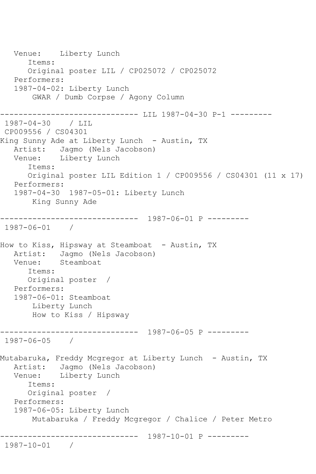Venue: Liberty Lunch Items: Original poster LIL / CP025072 / CP025072 Performers: 1987-04-02: Liberty Lunch GWAR / Dumb Corpse / Agony Column ----------------------------- LIL 1987-04-30 P-1 ---------1987-04-30 / LIL CP009556 / CS04301 King Sunny Ade at Liberty Lunch - Austin, TX Artist: Jagmo (Nels Jacobson)<br>Venue: Liberty Lunch Liberty Lunch Items: Original poster LIL Edition 1 / CP009556 / CS04301 (11 x 17) Performers: 1987-04-30 1987-05-01: Liberty Lunch King Sunny Ade ------------------------------ 1987-06-01 P --------- 1987-06-01 / How to Kiss, Hipsway at Steamboat - Austin, TX Artist: Jagmo (Nels Jacobson) Venue: Steamboat Items: Original poster / Performers: 1987-06-01: Steamboat Liberty Lunch How to Kiss / Hipsway ------------------------------ 1987-06-05 P --------- 1987-06-05 / Mutabaruka, Freddy Mcgregor at Liberty Lunch - Austin, TX Artist: Jagmo (Nels Jacobson) Venue: Liberty Lunch Items: Original poster / Performers: 1987-06-05: Liberty Lunch Mutabaruka / Freddy Mcgregor / Chalice / Peter Metro ------------------------------ 1987-10-01 P --------- 1987-10-01 /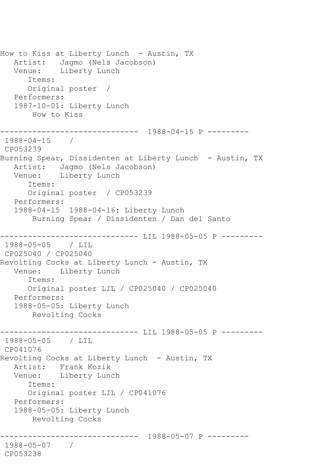How to Kiss at Liberty Lunch - Austin, TX Artist: Jagmo (Nels Jacobson) Venue: Liberty Lunch Items: Original poster / Performers: 1987-10-01: Liberty Lunch How to Kiss ------------------------------ 1988-04-15 P --------- 1988-04-15 / CP053239 Burning Spear, Dissidenten at Liberty Lunch - Austin, TX Artist: Jagmo (Nels Jacobson) Venue: Liberty Lunch Items: Original poster / CP053239 Performers: 1988-04-15 1988-04-16: Liberty Lunch Burning Spear / Dissidenten / Dan del Santo ---------- LIL 1988-05-05 P ---------1988-05-05 / LIL CP025040 / CP025040 Revolting Cocks at Liberty Lunch - Austin, TX Venue: Liberty Lunch Items: Original poster LIL / CP025040 / CP025040 Performers: 1988-05-05: Liberty Lunch Revolting Cocks ------------------------------ LIL 1988-05-05 P --------- 1988-05-05 / LIL CP041076 Revolting Cocks at Liberty Lunch - Austin, TX Artist: Frank Kozik Venue: Liberty Lunch Items: Original poster LIL / CP041076 Performers: 1988-05-05: Liberty Lunch Revolting Cocks ------------------------------ 1988-05-07 P --------- 1988-05-07 / CP053238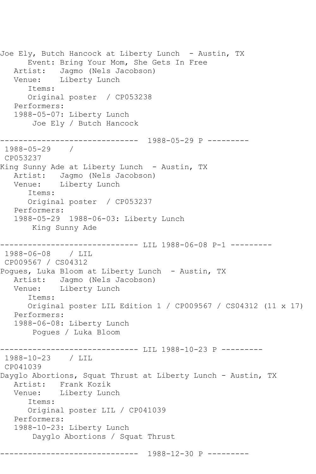Joe Ely, Butch Hancock at Liberty Lunch - Austin, TX Event: Bring Your Mom, She Gets In Free Artist: Jagmo (Nels Jacobson) Venue: Liberty Lunch Items: Original poster / CP053238 Performers: 1988-05-07: Liberty Lunch Joe Ely / Butch Hancock ------------------------------ 1988-05-29 P --------- 1988-05-29 / CP053237 King Sunny Ade at Liberty Lunch - Austin, TX Artist: Jagmo (Nels Jacobson) Venue: Liberty Lunch Items: Original poster / CP053237 Performers: 1988-05-29 1988-06-03: Liberty Lunch King Sunny Ade ------------------------------ LIL 1988-06-08 P-1 --------- 1988-06-08 / LIL CP009567 / CS04312 Pogues, Luka Bloom at Liberty Lunch - Austin, TX Artist: Jagmo (Nels Jacobson) Venue: Liberty Lunch Items: Original poster LIL Edition 1 / CP009567 / CS04312 (11 x 17) Performers: 1988-06-08: Liberty Lunch Pogues / Luka Bloom ----------- LIL 1988-10-23 P ----------1988-10-23 / LIL CP041039 Dayglo Abortions, Squat Thrust at Liberty Lunch - Austin, TX Artist: Frank Kozik<br>Venue: Liberty Lung Liberty Lunch Items: Original poster LIL / CP041039 Performers: 1988-10-23: Liberty Lunch Dayglo Abortions / Squat Thrust ------------------------------ 1988-12-30 P ---------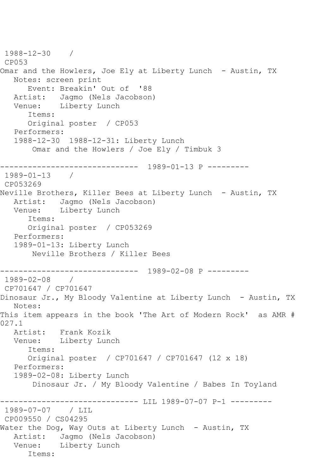```
1988-12-30 / 
CP053
Omar and the Howlers, Joe Ely at Liberty Lunch - Austin, TX
   Notes: screen print
      Event: Breakin' Out of '88
   Artist: Jagmo (Nels Jacobson)
   Venue: Liberty Lunch
       Items:
      Original poster / CP053
   Performers:
   1988-12-30 1988-12-31: Liberty Lunch
       Omar and the Howlers / Joe Ely / Timbuk 3
------------------------------ 1989-01-13 P ---------
1989-01-13 / 
CP053269
Neville Brothers, Killer Bees at Liberty Lunch - Austin, TX
   Artist: Jagmo (Nels Jacobson)
   Venue: Liberty Lunch
      Items:
      Original poster / CP053269
   Performers:
   1989-01-13: Liberty Lunch
       Neville Brothers / Killer Bees
------------------------------ 1989-02-08 P ---------
1989-02-08 / 
CP701647 / CP701647
Dinosaur Jr., My Bloody Valentine at Liberty Lunch - Austin, TX
   Notes: 
This item appears in the book 'The Art of Modern Rock' as AMR # 
027.1
  Artist: Frank Kozik<br>Venue: Liberty Lun
           Liberty Lunch
       Items:
      Original poster / CP701647 / CP701647 (12 x 18)
   Performers:
   1989-02-08: Liberty Lunch
       Dinosaur Jr. / My Bloody Valentine / Babes In Toyland
                   ----------- LIL 1989-07-07 P-1 ---------
1989-07-07 / LIL 
CP009550 / CS04295
Water the Dog, Way Outs at Liberty Lunch - Austin, TX
   Artist: Jagmo (Nels Jacobson)
   Venue: Liberty Lunch
      Items:
```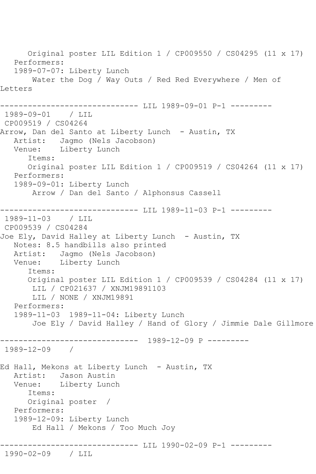Original poster LIL Edition 1 / CP009550 / CS04295 (11 x 17) Performers: 1989-07-07: Liberty Lunch Water the Dog / Way Outs / Red Red Everywhere / Men of Letters ------------------------------ LIL 1989-09-01 P-1 --------- 1989-09-01 / LIL CP009519 / CS04264 Arrow, Dan del Santo at Liberty Lunch - Austin, TX Artist: Jagmo (Nels Jacobson) Venue: Liberty Lunch Items: Original poster LIL Edition 1 / CP009519 / CS04264 (11 x 17) Performers: 1989-09-01: Liberty Lunch Arrow / Dan del Santo / Alphonsus Cassell ------------------------------ LIL 1989-11-03 P-1 --------- 1989-11-03 / LIL CP009539 / CS04284 Joe Ely, David Halley at Liberty Lunch - Austin, TX Notes: 8.5 handbills also printed Artist: Jagmo (Nels Jacobson) Venue: Liberty Lunch Items: Original poster LIL Edition 1 / CP009539 / CS04284 (11 x 17) LIL / CP021637 / XNJM19891103 LIL / NONE / XNJM19891 Performers: 1989-11-03 1989-11-04: Liberty Lunch Joe Ely / David Halley / Hand of Glory / Jimmie Dale Gillmore ------------------------------ 1989-12-09 P --------- 1989-12-09 / Ed Hall, Mekons at Liberty Lunch - Austin, TX Artist: Jason Austin Venue: Liberty Lunch Items: Original poster / Performers: 1989-12-09: Liberty Lunch Ed Hall / Mekons / Too Much Joy ------------------------------ LIL 1990-02-09 P-1 --------- 1990-02-09 / LIL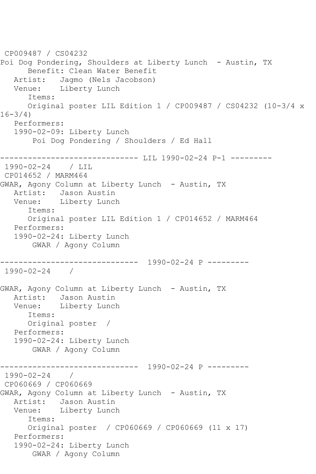```
CP009487 / CS04232
Poi Dog Pondering, Shoulders at Liberty Lunch - Austin, TX
       Benefit: Clean Water Benefit
  Artist: Jagmo (Nels Jacobson)<br>Venue: Liberty Lunch
            Liberty Lunch
       Items:
       Original poster LIL Edition 1 / CP009487 / CS04232 (10-3/4 x 
16 - 3/4 Performers:
    1990-02-09: Liberty Lunch
        Poi Dog Pondering / Shoulders / Ed Hall
----------------------------- LIL 1990-02-24 P-1 ----------
1990-02-24 / LIL 
CP014652 / MARM464
GWAR, Agony Column at Liberty Lunch - Austin, TX
  Artist: Jason Austin<br>Venue: Liberty Lunc
            Liberty Lunch
       Items:
       Original poster LIL Edition 1 / CP014652 / MARM464
   Performers:
    1990-02-24: Liberty Lunch
        GWAR / Agony Column
                   ------------------------------ 1990-02-24 P ---------
1990-02-24 / 
GWAR, Agony Column at Liberty Lunch - Austin, TX
   Artist: Jason Austin
   Venue: Liberty Lunch
       Items:
       Original poster / 
   Performers:
    1990-02-24: Liberty Lunch
        GWAR / Agony Column
                 ------------------------------ 1990-02-24 P ---------
1990-02-24 / 
CP060669 / CP060669
GWAR, Agony Column at Liberty Lunch - Austin, TX
   Artist: Jason Austin
   Venue: Liberty Lunch
       Items:
       Original poster / CP060669 / CP060669 (11 x 17)
   Performers:
    1990-02-24: Liberty Lunch
        GWAR / Agony Column
```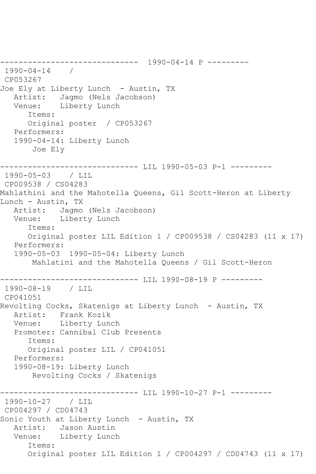------------------------------ 1990-04-14 P --------- 1990-04-14 / CP053267 Joe Ely at Liberty Lunch - Austin, TX Artist: Jagmo (Nels Jacobson) Venue: Liberty Lunch Items: Original poster / CP053267 Performers: 1990-04-14: Liberty Lunch Joe Ely ------------------------------ LIL 1990-05-03 P-1 --------- 1990-05-03 / LIL CP009538 / CS04283 Mahlathini and the Mahotella Queens, Gil Scott-Heron at Liberty Lunch - Austin, TX Artist: Jagmo (Nels Jacobson) Venue: Liberty Lunch Items: Original poster LIL Edition 1 / CP009538 / CS04283 (11 x 17) Performers: 1990-05-03 1990-05-04: Liberty Lunch Mahlatini and the Mahotella Queens / Gil Scott-Heron ----------------------------- LIL 1990-08-19 P ---------1990-08-19 / LIL CP041051 Revolting Cocks, Skatenigs at Liberty Lunch - Austin, TX Artist: Frank Kozik Venue: Liberty Lunch Promoter: Cannibal Club Presents Items: Original poster LIL / CP041051 Performers: 1990-08-19: Liberty Lunch Revolting Cocks / Skatenigs ------------------------------ LIL 1990-10-27 P-1 --------- 1990-10-27 / LIL CP004297 / CD04743 Sonic Youth at Liberty Lunch - Austin, TX Artist: Jason Austin Venue: Liberty Lunch Items: Original poster LIL Edition 1 / CP004297 / CD04743 (11 x 17)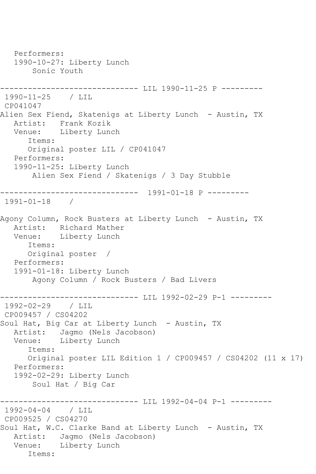Performers: 1990-10-27: Liberty Lunch Sonic Youth ----------------------------- LIL 1990-11-25 P ---------1990-11-25 / LIL CP041047 Alien Sex Fiend, Skatenigs at Liberty Lunch - Austin, TX<br>Artist: Frank Kozik Frank Kozik Venue: Liberty Lunch Items: Original poster LIL / CP041047 Performers: 1990-11-25: Liberty Lunch Alien Sex Fiend / Skatenigs / 3 Day Stubble ------------------------------ 1991-01-18 P --------- 1991-01-18 / Agony Column, Rock Busters at Liberty Lunch - Austin, TX Artist: Richard Mather Venue: Liberty Lunch Items: Original poster / Performers: 1991-01-18: Liberty Lunch Agony Column / Rock Busters / Bad Livers ------------- LIL 1992-02-29 P-1 ---------1992-02-29 / LIL CP009457 / CS04202 Soul Hat, Big Car at Liberty Lunch - Austin, TX Artist: Jagmo (Nels Jacobson)<br>Venue: Liberty Lunch Liberty Lunch Items: Original poster LIL Edition 1 / CP009457 / CS04202 (11 x 17) Performers: 1992-02-29: Liberty Lunch Soul Hat / Big Car ------------------------------ LIL 1992-04-04 P-1 --------- 1992-04-04 / LIL CP009525 / CS04270 Soul Hat, W.C. Clarke Band at Liberty Lunch - Austin, TX Artist: Jagmo (Nels Jacobson) Venue: Liberty Lunch Items: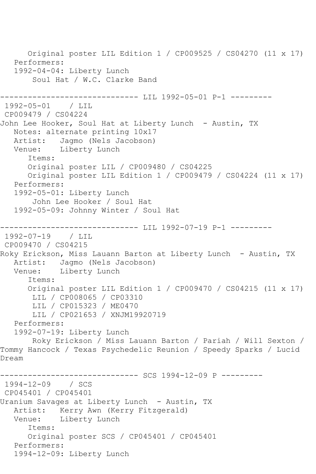Original poster LIL Edition 1 / CP009525 / CS04270 (11 x 17) Performers: 1992-04-04: Liberty Lunch Soul Hat / W.C. Clarke Band ---------- LIL 1992-05-01 P-1 ---------1992-05-01 / LIL CP009479 / CS04224 John Lee Hooker, Soul Hat at Liberty Lunch - Austin, TX Notes: alternate printing 10x17 Artist: Jagmo (Nels Jacobson) Venue: Liberty Lunch Items: Original poster LIL / CP009480 / CS04225 Original poster LIL Edition 1 / CP009479 / CS04224 (11 x 17) Performers: 1992-05-01: Liberty Lunch John Lee Hooker / Soul Hat 1992-05-09: Johnny Winter / Soul Hat ----------------------------- LIL 1992-07-19 P-1 ----------1992-07-19 / LIL CP009470 / CS04215 Roky Erickson, Miss Lauann Barton at Liberty Lunch - Austin, TX Artist: Jagmo (Nels Jacobson)<br>Venue: Liberty Lunch Liberty Lunch Items: Original poster LIL Edition 1 / CP009470 / CS04215 (11 x 17) LIL / CP008065 / CP03310 LIL / CP015323 / ME0470 LIL / CP021653 / XNJM19920719 Performers: 1992-07-19: Liberty Lunch Roky Erickson / Miss Lauann Barton / Pariah / Will Sexton / Tommy Hancock / Texas Psychedelic Reunion / Speedy Sparks / Lucid Dream ----------- SCS 1994-12-09 P ----------1994-12-09 / SCS CP045401 / CP045401 Uranium Savages at Liberty Lunch - Austin, TX Artist: Kerry Awn (Kerry Fitzgerald) Venue: Liberty Lunch Items: Original poster SCS / CP045401 / CP045401 Performers: 1994-12-09: Liberty Lunch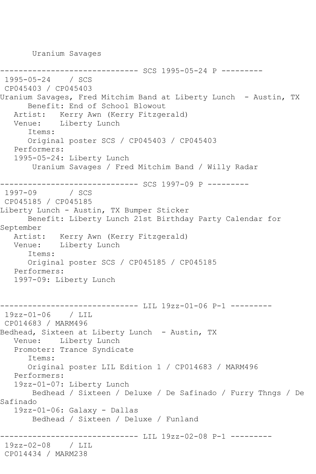Uranium Savages

------------ SCS 1995-05-24 P ---------1995-05-24 / SCS CP045403 / CP045403 Uranium Savages, Fred Mitchim Band at Liberty Lunch - Austin, TX Benefit: End of School Blowout Artist: Kerry Awn (Kerry Fitzgerald) Venue: Liberty Lunch Items: Original poster SCS / CP045403 / CP045403 Performers: 1995-05-24: Liberty Lunch Uranium Savages / Fred Mitchim Band / Willy Radar ------------------------------ SCS 1997-09 P --------- 1997-09 / SCS CP045185 / CP045185 Liberty Lunch - Austin, TX Bumper Sticker Benefit: Liberty Lunch 21st Birthday Party Calendar for September Artist: Kerry Awn (Kerry Fitzgerald) Venue: Liberty Lunch Items: Original poster SCS / CP045185 / CP045185 Performers: 1997-09: Liberty Lunch ----------------------------- LIL 19zz-01-06 P-1 ----------19zz-01-06 / LIL CP014683 / MARM496 Bedhead, Sixteen at Liberty Lunch - Austin, TX Venue: Liberty Lunch Promoter: Trance Syndicate Items: Original poster LIL Edition 1 / CP014683 / MARM496 Performers: 19zz-01-07: Liberty Lunch Bedhead / Sixteen / Deluxe / De Safinado / Furry Thngs / De Safinado 19zz-01-06: Galaxy - Dallas Bedhead / Sixteen / Deluxe / Funland -------------- LIL 19zz-02-08 P-1 ----------19zz-02-08 / LIL CP014434 / MARM238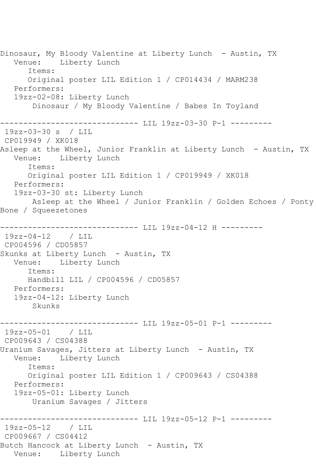Dinosaur, My Bloody Valentine at Liberty Lunch - Austin, TX<br>Venue: Liberty Lunch Liberty Lunch Items: Original poster LIL Edition 1 / CP014434 / MARM238 Performers: 19zz-02-08: Liberty Lunch Dinosaur / My Bloody Valentine / Babes In Toyland ------------------------------ LIL 19zz-03-30 P-1 --------- 19zz-03-30 s / LIL CP019949 / XK018 Asleep at the Wheel, Junior Franklin at Liberty Lunch - Austin, TX Venue: Liberty Lunch Items: Original poster LIL Edition 1 / CP019949 / XK018 Performers: 19zz-03-30 st: Liberty Lunch Asleep at the Wheel / Junior Franklin / Golden Echoes / Ponty Bone / Squeezetones ----------------------------- LIL 19zz-04-12 H ---------19zz-04-12 / LIL CP004596 / CD05857 Skunks at Liberty Lunch - Austin, TX Venue: Liberty Lunch Items: Handbill LIL / CP004596 / CD05857 Performers: 19zz-04-12: Liberty Lunch Skunks ------------------------------ LIL 19zz-05-01 P-1 --------- 19zz-05-01 / LIL CP009643 / CS04388 Uranium Savages, Jitters at Liberty Lunch - Austin, TX Venue: Liberty Lunch Items: Original poster LIL Edition 1 / CP009643 / CS04388 Performers: 19zz-05-01: Liberty Lunch Uranium Savages / Jitters ------------------------------ LIL 19zz-05-12 P-1 --------- 19zz-05-12 / LIL CP009667 / CS04412 Butch Hancock at Liberty Lunch - Austin, TX Venue: Liberty Lunch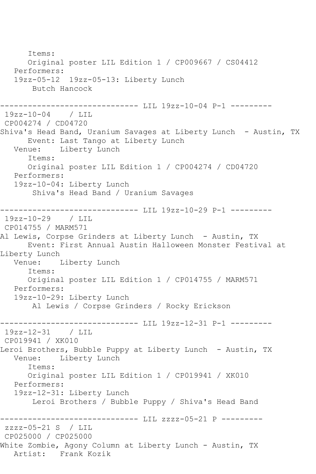Items: Original poster LIL Edition 1 / CP009667 / CS04412 Performers: 19zz-05-12 19zz-05-13: Liberty Lunch Butch Hancock ------------------------------ LIL 19zz-10-04 P-1 --------- 19zz-10-04 / LIL CP004274 / CD04720 Shiva's Head Band, Uranium Savages at Liberty Lunch - Austin, TX Event: Last Tango at Liberty Lunch<br>Venue: Liberty Lunch Liberty Lunch Items: Original poster LIL Edition 1 / CP004274 / CD04720 Performers: 19zz-10-04: Liberty Lunch Shiva's Head Band / Uranium Savages ------------------------------ LIL 19zz-10-29 P-1 --------- 19zz-10-29 / LIL CP014755 / MARM571 Al Lewis, Corpse Grinders at Liberty Lunch - Austin, TX Event: First Annual Austin Halloween Monster Festival at Liberty Lunch<br>Venue: I Liberty Lunch Items: Original poster LIL Edition 1 / CP014755 / MARM571 Performers: 19zz-10-29: Liberty Lunch Al Lewis / Corpse Grinders / Rocky Erickson ------------------------------ LIL 19zz-12-31 P-1 --------- 19zz-12-31 / LIL CP019941 / XK010 Leroi Brothers, Bubble Puppy at Liberty Lunch - Austin, TX Venue: Liberty Lunch Items: Original poster LIL Edition 1 / CP019941 / XK010 Performers: 19zz-12-31: Liberty Lunch Leroi Brothers / Bubble Puppy / Shiva's Head Band ------------------------------ LIL zzzz-05-21 P -------- zzzz-05-21 S / LIL CP025000 / CP025000 White Zombie, Agony Column at Liberty Lunch - Austin, TX Artist: Frank Kozik